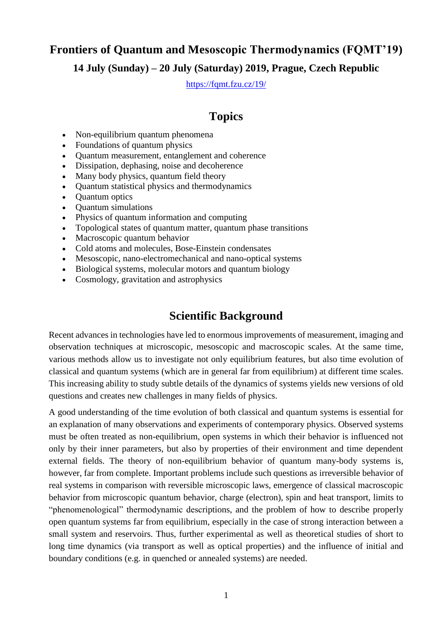## **Frontiers of Quantum and Mesoscopic Thermodynamics (FQMT'19) 14 July (Sunday) – 20 July (Saturday) 2019, Prague, Czech Republic**

<https://fqmt.fzu.cz/19/>

## **Topics**

- Non-equilibrium quantum phenomena
- Foundations of quantum physics
- Quantum measurement, entanglement and coherence
- Dissipation, dephasing, noise and decoherence
- Many body physics, quantum field theory
- Quantum statistical physics and thermodynamics
- Quantum optics
- Quantum simulations
- Physics of quantum information and computing
- Topological states of quantum matter, quantum phase transitions
- Macroscopic quantum behavior
- Cold atoms and molecules, Bose-Einstein condensates
- Mesoscopic, nano-electromechanical and nano-optical systems
- Biological systems, molecular motors and quantum biology
- Cosmology, gravitation and astrophysics

## **Scientific Background**

Recent advances in technologies have led to enormous improvements of measurement, imaging and observation techniques at microscopic, mesoscopic and macroscopic scales. At the same time, various methods allow us to investigate not only equilibrium features, but also time evolution of classical and quantum systems (which are in general far from equilibrium) at different time scales. This increasing ability to study subtle details of the dynamics of systems yields new versions of old questions and creates new challenges in many fields of physics.

A good understanding of the time evolution of both classical and quantum systems is essential for an explanation of many observations and experiments of contemporary physics. Observed systems must be often treated as non-equilibrium, open systems in which their behavior is influenced not only by their inner parameters, but also by properties of their environment and time dependent external fields. The theory of non-equilibrium behavior of quantum many-body systems is, however, far from complete. Important problems include such questions as irreversible behavior of real systems in comparison with reversible microscopic laws, emergence of classical macroscopic behavior from microscopic quantum behavior, charge (electron), spin and heat transport, limits to "phenomenological" thermodynamic descriptions, and the problem of how to describe properly open quantum systems far from equilibrium, especially in the case of strong interaction between a small system and reservoirs. Thus, further experimental as well as theoretical studies of short to long time dynamics (via transport as well as optical properties) and the influence of initial and boundary conditions (e.g. in quenched or annealed systems) are needed.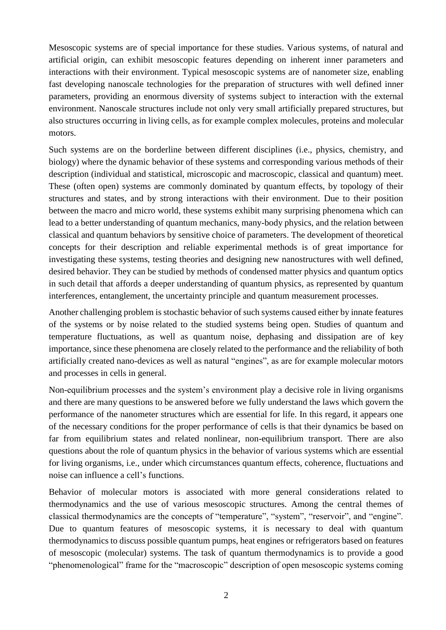Mesoscopic systems are of special importance for these studies. Various systems, of natural and artificial origin, can exhibit mesoscopic features depending on inherent inner parameters and interactions with their environment. Typical mesoscopic systems are of nanometer size, enabling fast developing nanoscale technologies for the preparation of structures with well defined inner parameters, providing an enormous diversity of systems subject to interaction with the external environment. Nanoscale structures include not only very small artificially prepared structures, but also structures occurring in living cells, as for example complex molecules, proteins and molecular motors.

Such systems are on the borderline between different disciplines (i.e., physics, chemistry, and biology) where the dynamic behavior of these systems and corresponding various methods of their description (individual and statistical, microscopic and macroscopic, classical and quantum) meet. These (often open) systems are commonly dominated by quantum effects, by topology of their structures and states, and by strong interactions with their environment. Due to their position between the macro and micro world, these systems exhibit many surprising phenomena which can lead to a better understanding of quantum mechanics, many-body physics, and the relation between classical and quantum behaviors by sensitive choice of parameters. The development of theoretical concepts for their description and reliable experimental methods is of great importance for investigating these systems, testing theories and designing new nanostructures with well defined, desired behavior. They can be studied by methods of condensed matter physics and quantum optics in such detail that affords a deeper understanding of quantum physics, as represented by quantum interferences, entanglement, the uncertainty principle and quantum measurement processes.

Another challenging problem is stochastic behavior of such systems caused either by innate features of the systems or by noise related to the studied systems being open. Studies of quantum and temperature fluctuations, as well as quantum noise, dephasing and dissipation are of key importance, since these phenomena are closely related to the performance and the reliability of both artificially created nano-devices as well as natural "engines", as are for example molecular motors and processes in cells in general.

Non-equilibrium processes and the system's environment play a decisive role in living organisms and there are many questions to be answered before we fully understand the laws which govern the performance of the nanometer structures which are essential for life. In this regard, it appears one of the necessary conditions for the proper performance of cells is that their dynamics be based on far from equilibrium states and related nonlinear, non-equilibrium transport. There are also questions about the role of quantum physics in the behavior of various systems which are essential for living organisms, i.e., under which circumstances quantum effects, coherence, fluctuations and noise can influence a cell's functions.

Behavior of molecular motors is associated with more general considerations related to thermodynamics and the use of various mesoscopic structures. Among the central themes of classical thermodynamics are the concepts of "temperature", "system", "reservoir", and "engine". Due to quantum features of mesoscopic systems, it is necessary to deal with quantum thermodynamics to discuss possible quantum pumps, heat engines or refrigerators based on features of mesoscopic (molecular) systems. The task of quantum thermodynamics is to provide a good "phenomenological" frame for the "macroscopic" description of open mesoscopic systems coming